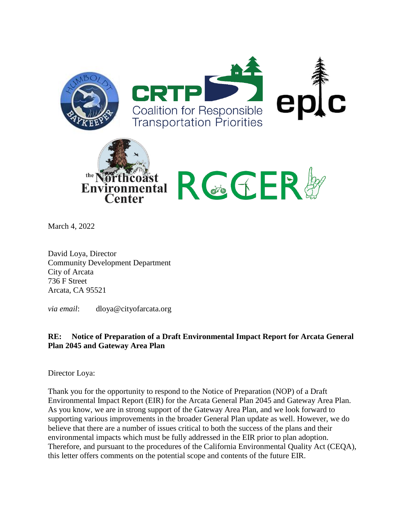

March 4, 2022

David Loya, Director Community Development Department City of Arcata 736 F Street Arcata, CA 95521

*via email*: dloya@cityofarcata.org

## **RE: Notice of Preparation of a Draft Environmental Impact Report for Arcata General Plan 2045 and Gateway Area Plan**

Director Loya:

Thank you for the opportunity to respond to the Notice of Preparation (NOP) of a Draft Environmental Impact Report (EIR) for the Arcata General Plan 2045 and Gateway Area Plan. As you know, we are in strong support of the Gateway Area Plan, and we look forward to supporting various improvements in the broader General Plan update as well. However, we do believe that there are a number of issues critical to both the success of the plans and their environmental impacts which must be fully addressed in the EIR prior to plan adoption. Therefore, and pursuant to the procedures of the California Environmental Quality Act (CEQA), this letter offers comments on the potential scope and contents of the future EIR.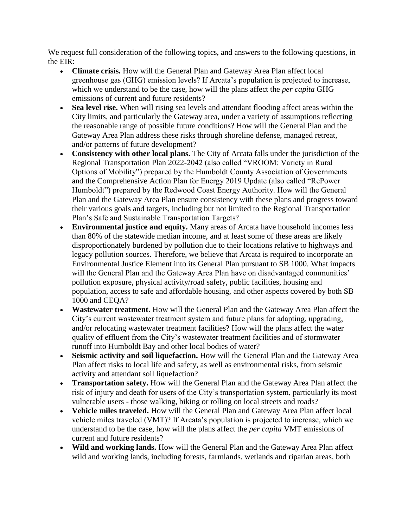We request full consideration of the following topics, and answers to the following questions, in the EIR:

- **Climate crisis.** How will the General Plan and Gateway Area Plan affect local greenhouse gas (GHG) emission levels? If Arcata's population is projected to increase, which we understand to be the case, how will the plans affect the *per capita* GHG emissions of current and future residents?
- **Sea level rise.** When will rising sea levels and attendant flooding affect areas within the City limits, and particularly the Gateway area, under a variety of assumptions reflecting the reasonable range of possible future conditions? How will the General Plan and the Gateway Area Plan address these risks through shoreline defense, managed retreat, and/or patterns of future development?
- **Consistency with other local plans.** The City of Arcata falls under the jurisdiction of the Regional Transportation Plan 2022-2042 (also called "VROOM: Variety in Rural Options of Mobility") prepared by the Humboldt County Association of Governments and the Comprehensive Action Plan for Energy 2019 Update (also called "RePower Humboldt") prepared by the Redwood Coast Energy Authority. How will the General Plan and the Gateway Area Plan ensure consistency with these plans and progress toward their various goals and targets, including but not limited to the Regional Transportation Plan's Safe and Sustainable Transportation Targets?
- **Environmental justice and equity.** Many areas of Arcata have household incomes less than 80% of the statewide median income, and at least some of these areas are likely disproportionately burdened by pollution due to their locations relative to highways and legacy pollution sources. Therefore, we believe that Arcata is required to incorporate an Environmental Justice Element into its General Plan pursuant to SB 1000. What impacts will the General Plan and the Gateway Area Plan have on disadvantaged communities' pollution exposure, physical activity/road safety, public facilities, housing and population, access to safe and affordable housing, and other aspects covered by both SB 1000 and CEQA?
- **Wastewater treatment.** How will the General Plan and the Gateway Area Plan affect the City's current wastewater treatment system and future plans for adapting, upgrading, and/or relocating wastewater treatment facilities? How will the plans affect the water quality of effluent from the City's wastewater treatment facilities and of stormwater runoff into Humboldt Bay and other local bodies of water?
- **Seismic activity and soil liquefaction.** How will the General Plan and the Gateway Area Plan affect risks to local life and safety, as well as environmental risks, from seismic activity and attendant soil liquefaction?
- **Transportation safety.** How will the General Plan and the Gateway Area Plan affect the risk of injury and death for users of the City's transportation system, particularly its most vulnerable users - those walking, biking or rolling on local streets and roads?
- **Vehicle miles traveled.** How will the General Plan and Gateway Area Plan affect local vehicle miles traveled (VMT)? If Arcata's population is projected to increase, which we understand to be the case, how will the plans affect the *per capita* VMT emissions of current and future residents?
- Wild and working lands. How will the General Plan and the Gateway Area Plan affect wild and working lands, including forests, farmlands, wetlands and riparian areas, both